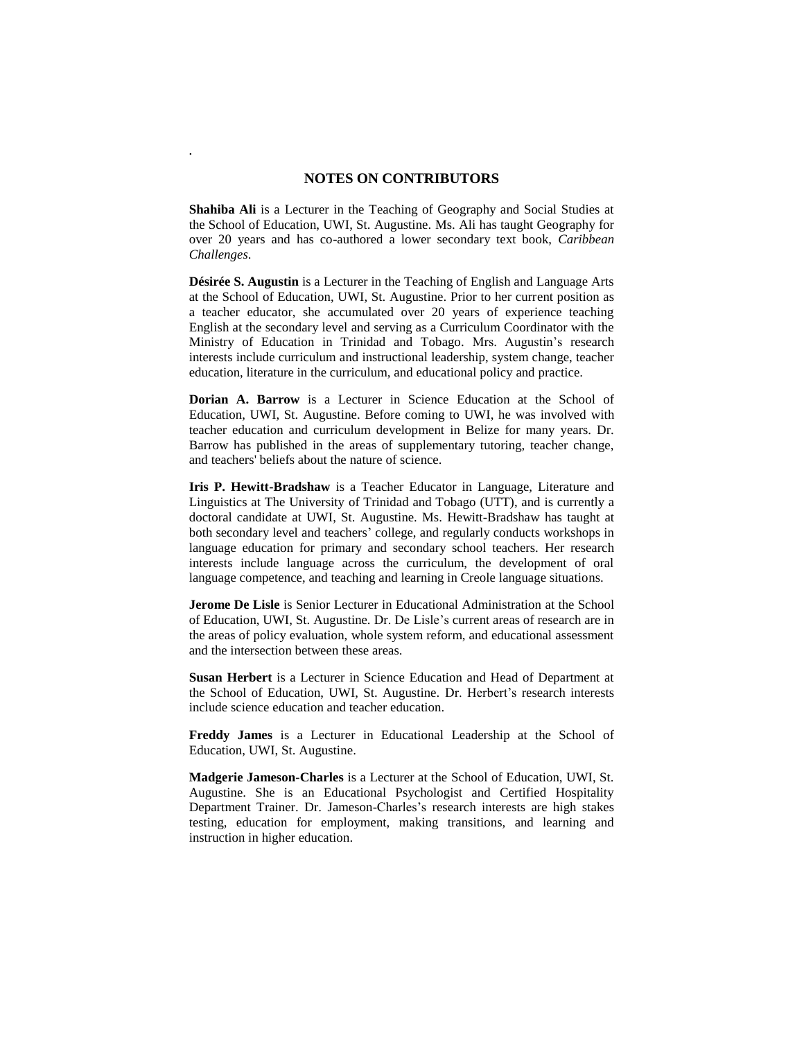## **NOTES ON CONTRIBUTORS**

*.*

**Shahiba Ali** is a Lecturer in the Teaching of Geography and Social Studies at the School of Education, UWI, St. Augustine. Ms. Ali has taught Geography for over 20 years and has co-authored a lower secondary text book, *Caribbean Challenges*.

**Désirée S. Augustin** is a Lecturer in the Teaching of English and Language Arts at the School of Education, UWI, St. Augustine. Prior to her current position as a teacher educator, she accumulated over 20 years of experience teaching English at the secondary level and serving as a Curriculum Coordinator with the Ministry of Education in Trinidad and Tobago. Mrs. Augustin's research interests include curriculum and instructional leadership, system change, teacher education, literature in the curriculum, and educational policy and practice.

**Dorian A. Barrow** is a Lecturer in Science Education at the School of Education, UWI, St. Augustine. Before coming to UWI, he was involved with teacher education and curriculum development in Belize for many years. Dr. Barrow has published in the areas of supplementary tutoring, teacher change, and teachers' beliefs about the nature of science.

**Iris P. Hewitt-Bradshaw** is a Teacher Educator in Language, Literature and Linguistics at The University of Trinidad and Tobago (UTT), and is currently a doctoral candidate at UWI, St. Augustine. Ms. Hewitt-Bradshaw has taught at both secondary level and teachers' college, and regularly conducts workshops in language education for primary and secondary school teachers. Her research interests include language across the curriculum, the development of oral language competence, and teaching and learning in Creole language situations.

**Jerome De Lisle** is Senior Lecturer in Educational Administration at the School of Education, UWI, St. Augustine. Dr. De Lisle's current areas of research are in the areas of policy evaluation, whole system reform, and educational assessment and the intersection between these areas.

**Susan Herbert** is a Lecturer in Science Education and Head of Department at the School of Education, UWI, St. Augustine. Dr. Herbert's research interests include science education and teacher education.

**Freddy James** is a Lecturer in Educational Leadership at the School of Education, UWI, St. Augustine.

**Madgerie Jameson-Charles** is a Lecturer at the School of Education, UWI, St. Augustine. She is an Educational Psychologist and Certified Hospitality Department Trainer. Dr. Jameson-Charles's research interests are high stakes testing, education for employment, making transitions, and learning and instruction in higher education.